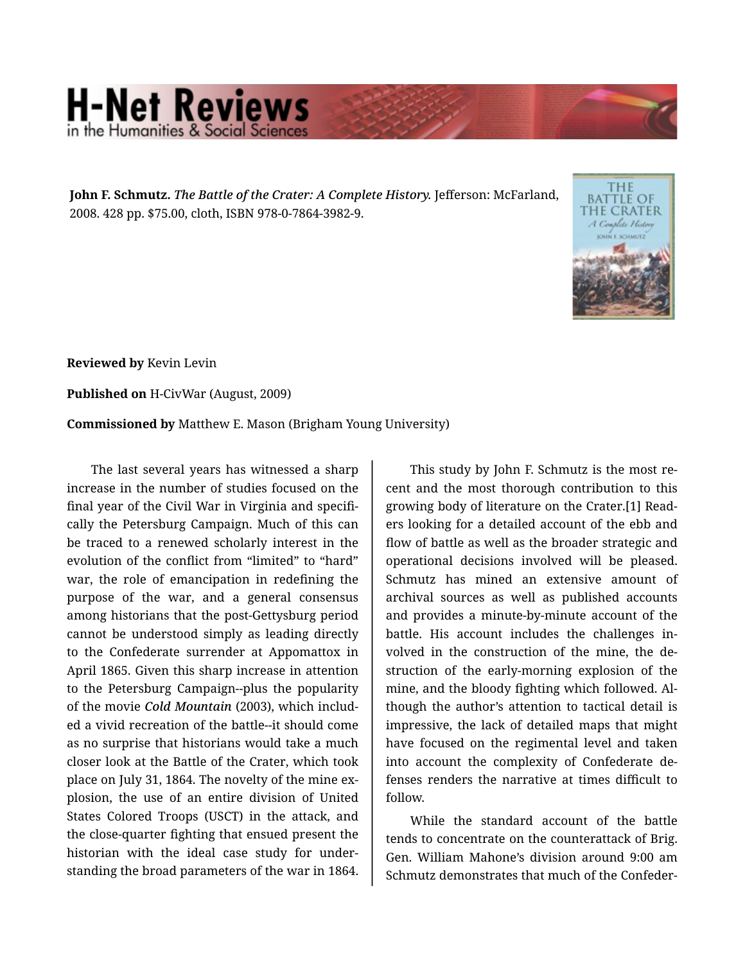## **H-Net Reviews** in the Humanities & Social Scier

**John F. Schmutz.** *The Battle of the Crater: A Complete History.* Jefferson: McFarland, 2008. 428 pp. \$75.00, cloth, ISBN 978-0-7864-3982-9.



**Reviewed by** Kevin Levin

**Published on** H-CivWar (August, 2009)

**Commissioned by** Matthew E. Mason (Brigham Young University)

The last several years has witnessed a sharp increase in the number of studies focused on the final year of the Civil War in Virginia and specifi‐ cally the Petersburg Campaign. Much of this can be traced to a renewed scholarly interest in the evolution of the conflict from "limited" to "hard" war, the role of emancipation in redefining the purpose of the war, and a general consensus among historians that the post-Gettysburg period cannot be understood simply as leading directly to the Confederate surrender at Appomattox in April 1865. Given this sharp increase in attention to the Petersburg Campaign--plus the popularity of the movie *Cold Mountain* (2003), which includ‐ ed a vivid recreation of the battle--it should come as no surprise that historians would take a much closer look at the Battle of the Crater, which took place on July 31, 1864. The novelty of the mine ex‐ plosion, the use of an entire division of United States Colored Troops (USCT) in the attack, and the close-quarter fighting that ensued present the historian with the ideal case study for under‐ standing the broad parameters of the war in 1864.

This study by John F. Schmutz is the most re‐ cent and the most thorough contribution to this growing body of literature on the Crater.[1] Read‐ ers looking for a detailed account of the ebb and flow of battle as well as the broader strategic and operational decisions involved will be pleased. Schmutz has mined an extensive amount of archival sources as well as published accounts and provides a minute-by-minute account of the battle. His account includes the challenges in‐ volved in the construction of the mine, the de‐ struction of the early-morning explosion of the mine, and the bloody fighting which followed. Al‐ though the author's attention to tactical detail is impressive, the lack of detailed maps that might have focused on the regimental level and taken into account the complexity of Confederate de‐ fenses renders the narrative at times difficult to follow.

While the standard account of the battle tends to concentrate on the counterattack of Brig. Gen. William Mahone's division around 9:00 am Schmutz demonstrates that much of the Confeder‐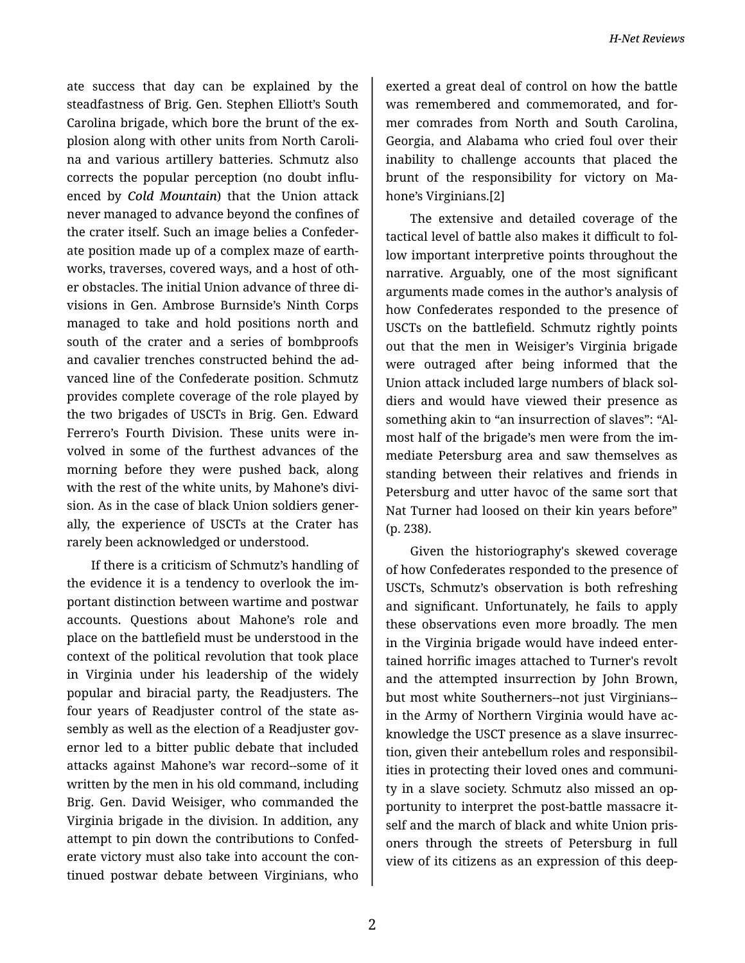ate success that day can be explained by the steadfastness of Brig. Gen. Stephen Elliott's South Carolina brigade, which bore the brunt of the ex‐ plosion along with other units from North Caroli‐ na and various artillery batteries. Schmutz also corrects the popular perception (no doubt influ‐ enced by *Cold Mountain*) that the Union attack never managed to advance beyond the confines of the crater itself. Such an image belies a Confeder‐ ate position made up of a complex maze of earth‐ works, traverses, covered ways, and a host of oth‐ er obstacles. The initial Union advance of three di‐ visions in Gen. Ambrose Burnside's Ninth Corps managed to take and hold positions north and south of the crater and a series of bombproofs and cavalier trenches constructed behind the ad‐ vanced line of the Confederate position. Schmutz provides complete coverage of the role played by the two brigades of USCTs in Brig. Gen. Edward Ferrero's Fourth Division. These units were in‐ volved in some of the furthest advances of the morning before they were pushed back, along with the rest of the white units, by Mahone's divi‐ sion. As in the case of black Union soldiers gener‐ ally, the experience of USCTs at the Crater has rarely been acknowledged or understood.

If there is a criticism of Schmutz's handling of the evidence it is a tendency to overlook the im‐ portant distinction between wartime and postwar accounts. Questions about Mahone's role and place on the battlefield must be understood in the context of the political revolution that took place in Virginia under his leadership of the widely popular and biracial party, the Readjusters. The four years of Readjuster control of the state as‐ sembly as well as the election of a Readjuster governor led to a bitter public debate that included attacks against Mahone's war record--some of it written by the men in his old command, including Brig. Gen. David Weisiger, who commanded the Virginia brigade in the division. In addition, any attempt to pin down the contributions to Confed‐ erate victory must also take into account the con‐ tinued postwar debate between Virginians, who

exerted a great deal of control on how the battle was remembered and commemorated, and for‐ mer comrades from North and South Carolina, Georgia, and Alabama who cried foul over their inability to challenge accounts that placed the brunt of the responsibility for victory on Ma‐ hone's Virginians.[2]

The extensive and detailed coverage of the tactical level of battle also makes it difficult to fol‐ low important interpretive points throughout the narrative. Arguably, one of the most significant arguments made comes in the author's analysis of how Confederates responded to the presence of USCTs on the battlefield. Schmutz rightly points out that the men in Weisiger's Virginia brigade were outraged after being informed that the Union attack included large numbers of black sol‐ diers and would have viewed their presence as something akin to "an insurrection of slaves": "Al‐ most half of the brigade's men were from the im‐ mediate Petersburg area and saw themselves as standing between their relatives and friends in Petersburg and utter havoc of the same sort that Nat Turner had loosed on their kin years before" (p. 238).

Given the historiography's skewed coverage of how Confederates responded to the presence of USCTs, Schmutz's observation is both refreshing and significant. Unfortunately, he fails to apply these observations even more broadly. The men in the Virginia brigade would have indeed enter‐ tained horrific images attached to Turner's revolt and the attempted insurrection by John Brown, but most white Southerners--not just Virginians- in the Army of Northern Virginia would have ac‐ knowledge the USCT presence as a slave insurrec‐ tion, given their antebellum roles and responsibil‐ ities in protecting their loved ones and communi‐ ty in a slave society. Schmutz also missed an op‐ portunity to interpret the post-battle massacre it‐ self and the march of black and white Union pris‐ oners through the streets of Petersburg in full view of its citizens as an expression of this deep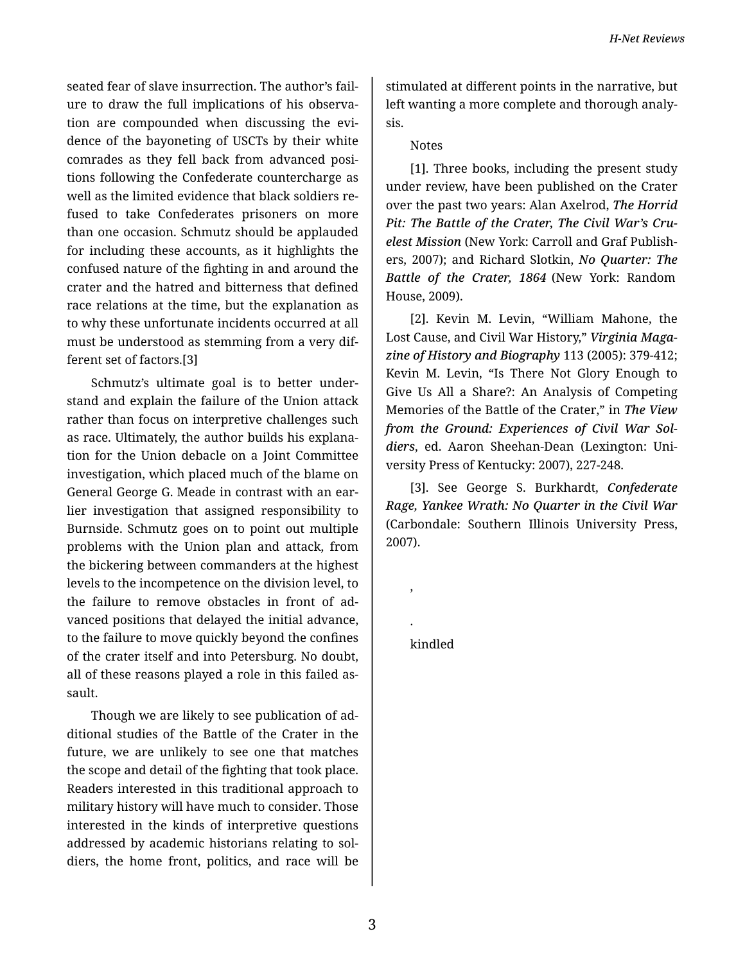seated fear of slave insurrection. The author's fail‐ ure to draw the full implications of his observa‐ tion are compounded when discussing the evi‐ dence of the bayoneting of USCTs by their white comrades as they fell back from advanced posi‐ tions following the Confederate countercharge as well as the limited evidence that black soldiers re‐ fused to take Confederates prisoners on more than one occasion. Schmutz should be applauded for including these accounts, as it highlights the confused nature of the fighting in and around the crater and the hatred and bitterness that defined race relations at the time, but the explanation as to why these unfortunate incidents occurred at all must be understood as stemming from a very dif‐ ferent set of factors.[3]

Schmutz's ultimate goal is to better under‐ stand and explain the failure of the Union attack rather than focus on interpretive challenges such as race. Ultimately, the author builds his explana‐ tion for the Union debacle on a Joint Committee investigation, which placed much of the blame on General George G. Meade in contrast with an ear‐ lier investigation that assigned responsibility to Burnside. Schmutz goes on to point out multiple problems with the Union plan and attack, from the bickering between commanders at the highest levels to the incompetence on the division level, to the failure to remove obstacles in front of ad‐ vanced positions that delayed the initial advance, to the failure to move quickly beyond the confines of the crater itself and into Petersburg. No doubt, all of these reasons played a role in this failed as‐ sault.

Though we are likely to see publication of ad‐ ditional studies of the Battle of the Crater in the future, we are unlikely to see one that matches the scope and detail of the fighting that took place. Readers interested in this traditional approach to military history will have much to consider. Those interested in the kinds of interpretive questions addressed by academic historians relating to sol‐ diers, the home front, politics, and race will be

stimulated at different points in the narrative, but left wanting a more complete and thorough analy‐ sis.

## Notes

[1]. Three books, including the present study under review, have been published on the Crater over the past two years: Alan Axelrod, *The Horrid Pit: The Battle of the Crater, The Civil War's Cru‐ elest Mission* (New York: Carroll and Graf Publish‐ ers, 2007); and Richard Slotkin, *No Quarter: The Battle of the Crater, 1864* (New York: Random House, 2009).

[2]. Kevin M. Levin, "William Mahone, the Lost Cause, and Civil War History," *Virginia Maga‐ zine of History and Biography* 113 (2005): 379-412; Kevin M. Levin, "Is There Not Glory Enough to Give Us All a Share?: An Analysis of Competing Memories of the Battle of the Crater," in *The View from the Ground: Experiences of Civil War Sol‐ diers*, ed. Aaron Sheehan-Dean (Lexington: Uni‐ versity Press of Kentucky: 2007), 227-248.

[3]. See George S. Burkhardt, *Confederate Rage, Yankee Wrath: No Quarter in the Civil War* (Carbondale: Southern Illinois University Press, 2007).

kindled

,

.